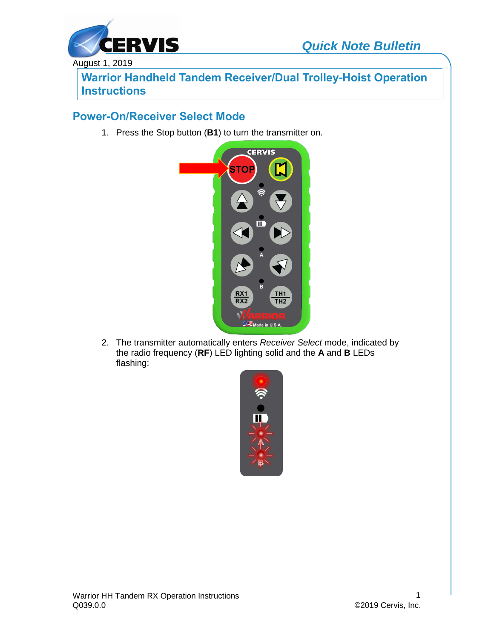



August 1, 2019

**Warrior Handheld Tandem Receiver/Dual Trolley-Hoist Operation Instructions**

#### **Power-On/Receiver Select Mode**

1. Press the Stop button (**B1**) to turn the transmitter on.



2. The transmitter automatically enters *Receiver Select* mode, indicated by the radio frequency (**RF**) LED lighting solid and the **A** and **B** LEDs flashing:

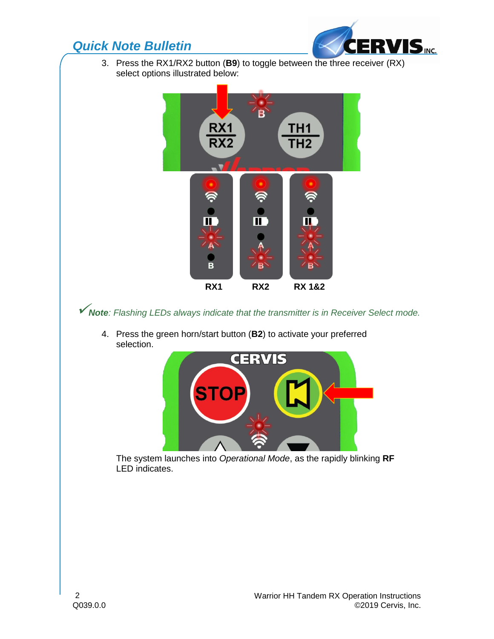## *Quick Note Bulletin*



3. Press the RX1/RX2 button (**B9**) to toggle between the three receiver (RX) select options illustrated below:



*Note: Flashing LEDs always indicate that the transmitter is in Receiver Select mode.*

4. Press the green horn/start button (**B2**) to activate your preferred selection.



The system launches into *Operational Mode*, as the rapidly blinking **RF** LED indicates.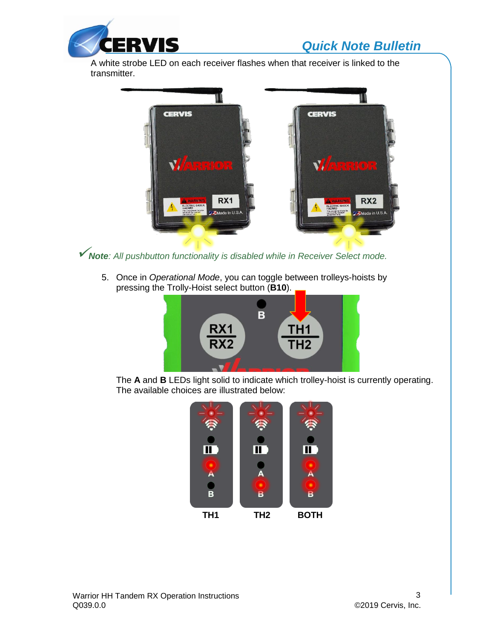

# *Quick Note Bulletin*

A white strobe LED on each receiver flashes when that receiver is linked to the transmitter.



*Note: All pushbutton functionality is disabled while in Receiver Select mode.*

5. Once in *Operational Mode*, you can toggle between trolleys-hoists by pressing the Trolly-Hoist select button (**B10**).



The **A** and **B** LEDs light solid to indicate which trolley-hoist is currently operating. The available choices are illustrated below: